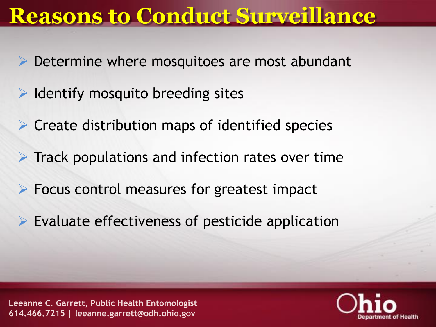#### **Reasons to Conduct Surveillance**

- Determine where mosquitoes are most abundant
- ➢ Identify mosquito breeding sites
- ➢ Create distribution maps of identified species
- $\triangleright$  Track populations and infection rates over time
- $\triangleright$  Focus control measures for greatest impact
- $\triangleright$  Evaluate effectiveness of pesticide application

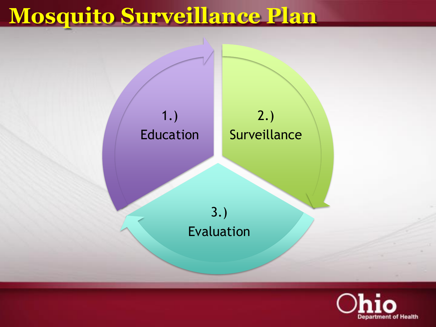# **Mosquito Surveillance Plan**



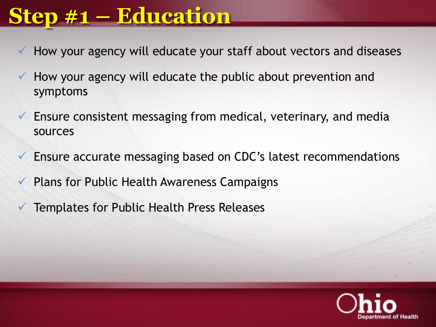## **Step #1 – Education**

- How your agency will educate your staff about vectors and diseases
- How your agency will educate the public about prevention and symptoms
- $\checkmark$  Ensure consistent messaging from medical, veterinary, and media sources
- $\checkmark$  Ensure accurate messaging based on CDC's latest recommendations
- Plans for Public Health Awareness Campaigns
- Templates for Public Health Press Releases

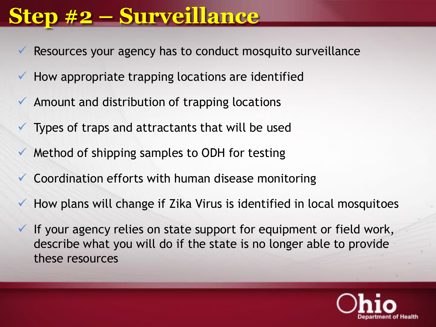### **Step #2 – Surveillance**

- Resources your agency has to conduct mosquito surveillance
- How appropriate trapping locations are identified
- $\checkmark$  Amount and distribution of trapping locations
	- Types of traps and attractants that will be used
- Method of shipping samples to ODH for testing
- Coordination efforts with human disease monitoring
- $\checkmark$  How plans will change if Zika Virus is identified in local mosquitoes
- $\checkmark$  If your agency relies on state support for equipment or field work, describe what you will do if the state is no longer able to provide these resources